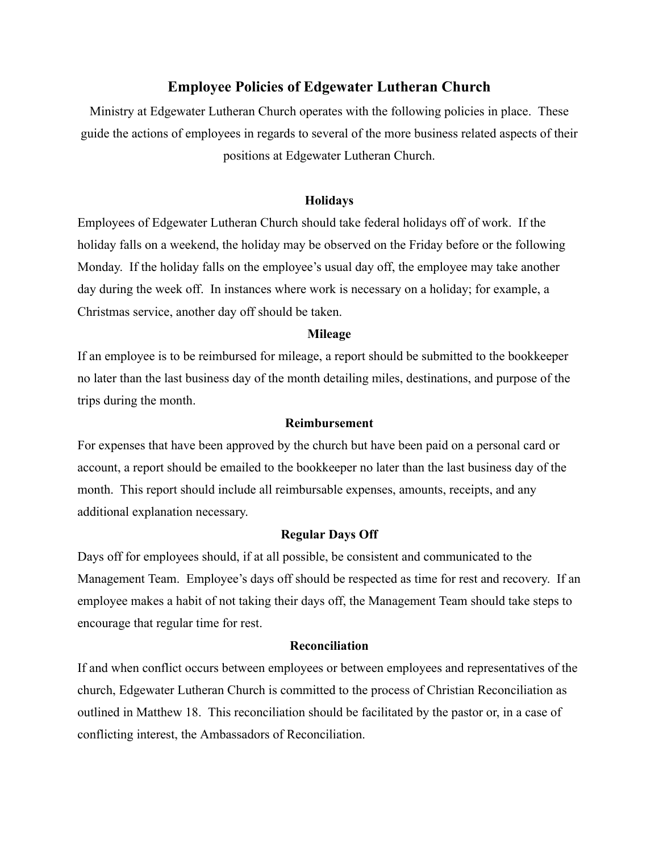# **Employee Policies of Edgewater Lutheran Church**

Ministry at Edgewater Lutheran Church operates with the following policies in place. These guide the actions of employees in regards to several of the more business related aspects of their positions at Edgewater Lutheran Church.

### **Holidays**

Employees of Edgewater Lutheran Church should take federal holidays off of work. If the holiday falls on a weekend, the holiday may be observed on the Friday before or the following Monday. If the holiday falls on the employee's usual day off, the employee may take another day during the week off. In instances where work is necessary on a holiday; for example, a Christmas service, another day off should be taken.

#### **Mileage**

If an employee is to be reimbursed for mileage, a report should be submitted to the bookkeeper no later than the last business day of the month detailing miles, destinations, and purpose of the trips during the month.

### **Reimbursement**

For expenses that have been approved by the church but have been paid on a personal card or account, a report should be emailed to the bookkeeper no later than the last business day of the month. This report should include all reimbursable expenses, amounts, receipts, and any additional explanation necessary.

#### **Regular Days Off**

Days off for employees should, if at all possible, be consistent and communicated to the Management Team. Employee's days off should be respected as time for rest and recovery. If an employee makes a habit of not taking their days off, the Management Team should take steps to encourage that regular time for rest.

## **Reconciliation**

If and when conflict occurs between employees or between employees and representatives of the church, Edgewater Lutheran Church is committed to the process of Christian Reconciliation as outlined in Matthew 18. This reconciliation should be facilitated by the pastor or, in a case of conflicting interest, the Ambassadors of Reconciliation.